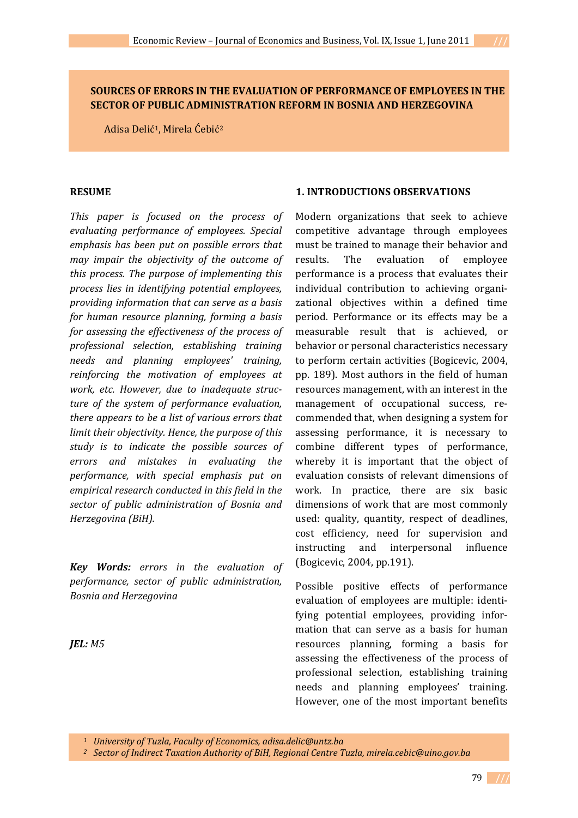## **SOURCES OF ERRORS IN THE EVALUATION OF PERFORMANCE OF EMPLOYEES IN THE SECTOR OF PUBLIC ADMINISTRATION REFORM IN BOSNIA AND HERZEGOVINA**

Adisa Delić1, Mirela Ćebić2

#### **RESUME**

*This paper is focused on the process of evaluating performance of employees. Special emphasis has been put on possible errors that may impair the objectivity of the outcome of this process. The purpose of implementing this process lies in identifying potential employees, providing information that can serve as a basis for human resource planning, forming a basis for assessing the effectiveness of the process of professional selection, establishing training needs and planning employees' training, reinforcing the motivation of employees at work, etc. However, due to inadequate structure of the system of performance evaluation, there appears to be a list of various errors that limit their objectivity. Hence, the purpose of this study is to indicate the possible sources of errors and mistakes in evaluating the performance, with special emphasis put on empirical research conducted in this field in the sector of public administration of Bosnia and Herzegovina (BiH).*

*Key Words: errors in the evaluation of performance, sector of public administration, Bosnia and Herzegovina*

*JEL: M5*

### **1. INTRODUCTIONS OBSERVATIONS**

Modern organizations that seek to achieve competitive advantage through employees must be trained to manage their behavior and results. The evaluation of employee performance is a process that evaluates their individual contribution to achieving organi‐ zational objectives within a defined time period. Performance or its effects may be a measurable result that is achieved, or behavior or personal characteristics necessary to perform certain activities (Bogicevic, 2004, pp. 189). Most authors in the field of human resources management, with an interest in the management of occupational success, recommended that, when designing a system for assessing performance, it is necessary to combine different types of performance, whereby it is important that the object of evaluation consists of relevant dimensions of work. In practice, there are six basic dimensions of work that are most commonly used: quality, quantity, respect of deadlines, cost efficiency, need for supervision and instructing and interpersonal influence (Bogicevic, 2004, pp.191).

Possible positive effects of performance evaluation of employees are multiple: identi‐ fying potential employees, providing information that can serve as a basis for human resources planning, forming a basis for assessing the effectiveness of the process of professional selection, establishing training needs and planning employees' training. However, one of the most important benefits

*<sup>1</sup> University of Tuzla, Faculty of Economics, adisa.delic@untz.ba*

*<sup>2</sup> Sector of Indirect Taxation Authority of BiH, Regional Centre Tuzla, mirela.cebic@uino.gov.ba*

79  **///**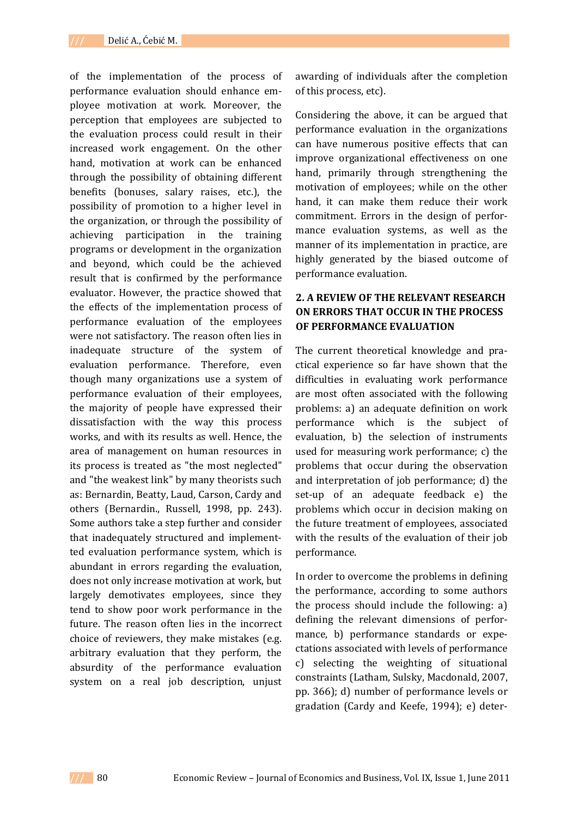of the implementation of the process of performance evaluation should enhance em‐ ployee motivation at work. Moreover, the perception that employees are subjected to the evaluation process could result in their increased work engagement. On the other hand, motivation at work can be enhanced through the possibility of obtaining different benefits (bonuses, salary raises, etc.), the possibility of promotion to a higher level in the organization, or through the possibility of achieving participation in the training programs or development in the organization and beyond, which could be the achieved result that is confirmed by the performance evaluator. However, the practice showed that the effects of the implementation process of performance evaluation of the employees were not satisfactory. The reason often lies in inadequate structure of the system of evaluation performance. Therefore, even though many organizations use a system of performance evaluation of their employees, the majority of people have expressed their dissatisfaction with the way this process works, and with its results as well. Hence, the area of management on human resources in its process is treated as "the most neglected" and "the weakest link" by many theorists such as: Bernardin, Beatty, Laud, Carson, Cardy and others (Bernardin., Russell, 1998, pp. 243). Some authors take a step further and consider that inadequately structured and implement‐ ted evaluation performance system, which is abundant in errors regarding the evaluation, does not only increase motivation at work, but largely demotivates employees, since they tend to show poor work performance in the future. The reason often lies in the incorrect choice of reviewers, they make mistakes (e.g. arbitrary evaluation that they perform, the absurdity of the performance evaluation system on a real job description, unjust

awarding of individuals after the completion of this process, etc).

Considering the above, it can be argued that performance evaluation in the organizations can have numerous positive effects that can improve organizational effectiveness on one hand, primarily through strengthening the motivation of employees; while on the other hand, it can make them reduce their work commitment. Errors in the design of perfor‐ mance evaluation systems, as well as the manner of its implementation in practice, are highly generated by the biased outcome of performance evaluation.

# **2. A REVIEW OF THE RELEVANT RESEARCH ON ERRORS THAT OCCUR IN THE PROCESS OF PERFORMANCE EVALUATION**

The current theoretical knowledge and practical experience so far have shown that the difficulties in evaluating work performance are most often associated with the following problems: a) an adequate definition on work performance which is the subject of evaluation, b) the selection of instruments used for measuring work performance; c) the problems that occur during the observation and interpretation of job performance; d) the set-up of an adequate feedback e) the problems which occur in decision making on the future treatment of employees, associated with the results of the evaluation of their job performance.

In order to overcome the problems in defining the performance, according to some authors the process should include the following: a) defining the relevant dimensions of perfor‐ mance, b) performance standards or expectations associated with levels of performance c) selecting the weighting of situational constraints (Latham, Sulsky, Macdonald, 2007, pp. 366); d) number of performance levels or gradation (Cardy and Keefe, 1994); e) deter‐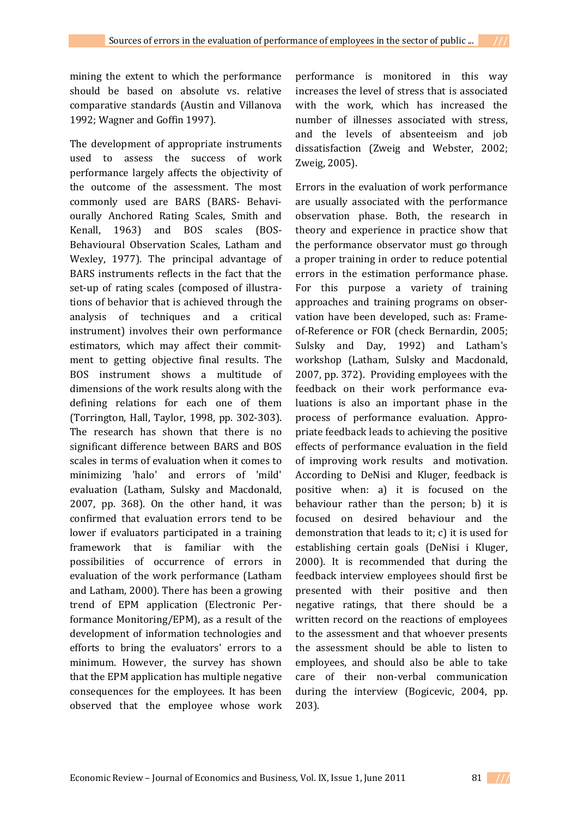mining the extent to which the performance should be based on absolute vs. relative comparative standards (Austin and Villanova 1992; Wagner and Goffin 1997).

The development of appropriate instruments used to assess the success of work performance largely affects the objectivity of the outcome of the assessment. The most commonly used are BARS (BARS‐ Behavi‐ ourally Anchored Rating Scales, Smith and Kenall, 1963) and BOS scales (BOS-Behavioural Observation Scales, Latham and Wexley, 1977). The principal advantage of BARS instruments reflects in the fact that the set-up of rating scales (composed of illustrations of behavior that is achieved through the analysis of techniques and a critical instrument) involves their own performance estimators, which may affect their commitment to getting objective final results. The BOS instrument shows a multitude of dimensions of the work results along with the defining relations for each one of them (Torrington, Hall, Taylor, 1998, pp. 302‐303). The research has shown that there is no significant difference between BARS and BOS scales in terms of evaluation when it comes to minimizing 'halo' and errors of 'mild' evaluation (Latham, Sulsky and Macdonald, 2007, pp. 368). On the other hand, it was confirmed that evaluation errors tend to be lower if evaluators participated in a training framework that is familiar with the possibilities of occurrence of errors in evaluation of the work performance (Latham and Latham, 2000). There has been a growing trend of EPM application (Electronic Per‐ formance Monitoring/EPM), as a result of the development of information technologies and efforts to bring the evaluators' errors to a minimum. However, the survey has shown that the EPM application has multiple negative consequences for the employees. It has been observed that the employee whose work

performance is monitored in this way increases the level of stress that is associated with the work, which has increased the number of illnesses associated with stress, and the levels of absenteeism and job dissatisfaction (Zweig and Webster, 2002; Zweig, 2005).

Errors in the evaluation of work performance are usually associated with the performance observation phase. Both, the research in theory and experience in practice show that the performance observator must go through a proper training in order to reduce potential errors in the estimation performance phase. For this purpose a variety of training approaches and training programs on obser‐ vation have been developed, such as: Frame‐ of‐Reference or FOR (check Bernardin, 2005; Sulsky and Day, 1992) and Latham's workshop (Latham, Sulsky and Macdonald, 2007, pp. 372). Providing employees with the feedback on their work performance eva‐ luations is also an important phase in the process of performance evaluation. Appro‐ priate feedback leads to achieving the positive effects of performance evaluation in the field of improving work results and motivation. According to DeNisi and Kluger, feedback is positive when: a) it is focused on the behaviour rather than the person; b) it is focused on desired behaviour and the demonstration that leads to it; c) it is used for establishing certain goals (DeNisi i Kluger, 2000). It is recommended that during the feedback interview employees should first be presented with their positive and then negative ratings, that there should be a written record on the reactions of employees to the assessment and that whoever presents the assessment should be able to listen to employees, and should also be able to take care of their non‐verbal communication during the interview (Bogicevic, 2004, pp. 203).

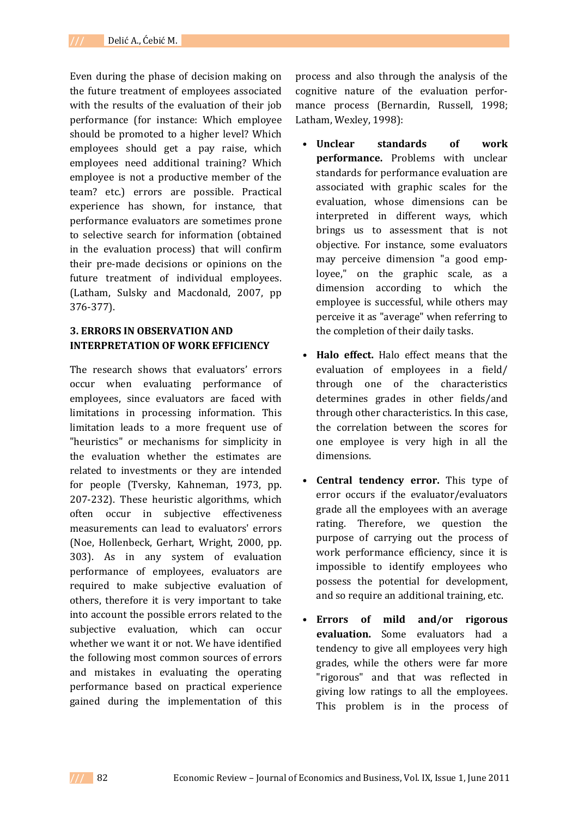Even during the phase of decision making on the future treatment of employees associated with the results of the evaluation of their iob performance (for instance: Which employee should be promoted to a higher level? Which employees should get a pay raise, which employees need additional training? Which employee is not a productive member of the team? etc.) errors are possible. Practical experience has shown, for instance, that performance evaluators are sometimes prone to selective search for information (obtained in the evaluation process) that will confirm their pre‐made decisions or opinions on the future treatment of individual employees. (Latham, Sulsky and Macdonald, 2007, pp 376‐377).

## **3. ERRORS IN OBSERVATION AND INTERPRETATION OF WORK EFFICIENCY**

The research shows that evaluators' errors occur when evaluating performance of employees, since evaluators are faced with limitations in processing information. This limitation leads to a more frequent use of "heuristics" or mechanisms for simplicity in the evaluation whether the estimates are related to investments or they are intended for people (Tversky, Kahneman, 1973, pp. 207‐232). These heuristic algorithms, which often occur in subjective effectiveness measurements can lead to evaluators' errors (Noe, Hollenbeck, Gerhart, Wright, 2000, pp. 303). As in any system of evaluation performance of employees, evaluators are required to make subjective evaluation of others, therefore it is very important to take into account the possible errors related to the subjective evaluation, which can occur whether we want it or not. We have identified the following most common sources of errors and mistakes in evaluating the operating performance based on practical experience gained during the implementation of this process and also through the analysis of the cognitive nature of the evaluation perfor‐ mance process (Bernardin, Russell, 1998; Latham, Wexley, 1998):

- **Unclear standards of work performance.** Problems with unclear standards for performance evaluation are associated with graphic scales for the evaluation, whose dimensions can be interpreted in different ways, which brings us to assessment that is not objective. For instance, some evaluators may perceive dimension "a good emp‐ loyee," on the graphic scale, as a dimension according to which the employee is successful, while others may perceive it as "average" when referring to the completion of their daily tasks.
- **• Halo effect.** Halo effect means that the evaluation of employees in a field/ through one of the characteristics determines grades in other fields/and through other characteristics. In this case, the correlation between the scores for one employee is very high in all the dimensions.
- **Central tendency error.** This type of error occurs if the evaluator/evaluators grade all the employees with an average rating. Therefore, we question the purpose of carrying out the process of work performance efficiency, since it is impossible to identify employees who possess the potential for development, and so require an additional training, etc.
- **Errors of mild and/or rigorous evaluation.** Some evaluators had a tendency to give all employees very high grades, while the others were far more "rigorous" and that was reflected in giving low ratings to all the employees. This problem is in the process of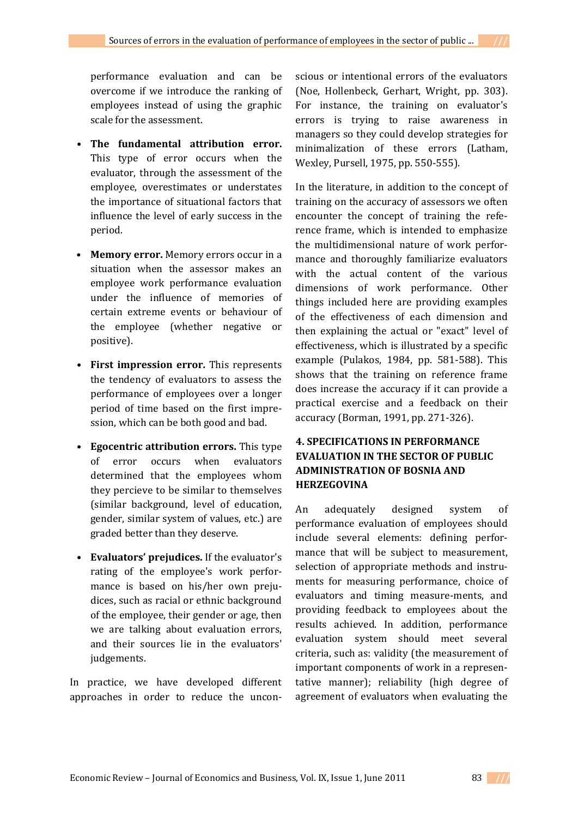performance evaluation and can be overcome if we introduce the ranking of employees instead of using the graphic scale for the assessment.

- **• The fundamental attribution error.** This type of error occurs when the evaluator, through the assessment of the employee, overestimates or understates the importance of situational factors that influence the level of early success in the period.
- **Memory error.** Memory errors occur in a situation when the assessor makes an employee work performance evaluation under the influence of memories of certain extreme events or behaviour of the employee (whether negative or positive).
- **• First impression error.** This represents the tendency of evaluators to assess the performance of employees over a longer period of time based on the first impre‐ ssion, which can be both good and bad.
- **• Egocentric attribution errors.** This type of error occurs when evaluators determined that the employees whom they percieve to be similar to themselves (similar background, level of education, gender, similar system of values, etc.) are graded better than they deserve.
- **• Evaluators' prejudices.** If the evaluator's rating of the employee's work perfor‐ mance is based on his/her own prejudices, such as racial or ethnic background of the employee, their gender or age, then we are talking about evaluation errors, and their sources lie in the evaluators' judgements.

In practice, we have developed different approaches in order to reduce the uncon-

scious or intentional errors of the evaluators (Noe, Hollenbeck, Gerhart, Wright, pp. 303). For instance, the training on evaluator's errors is trying to raise awareness in managers so they could develop strategies for minimalization of these errors (Latham, Wexley, Pursell, 1975, pp. 550‐555).

In the literature, in addition to the concept of training on the accuracy of assessors we often encounter the concept of training the reference frame, which is intended to emphasize the multidimensional nature of work perfor‐ mance and thoroughly familiarize evaluators with the actual content of the various dimensions of work performance. Other things included here are providing examples of the effectiveness of each dimension and then explaining the actual or "exact" level of effectiveness, which is illustrated by a specific example (Pulakos, 1984, pp. 581‐588). This shows that the training on reference frame does increase the accuracy if it can provide a practical exercise and a feedback on their accuracy (Borman, 1991, pp. 271‐326).

# **4. SPECIFICATIONS IN PERFORMANCE EVALUATION IN THE SECTOR OF PUBLIC ADMINISTRATION OF BOSNIA AND HERZEGOVINA**

An adequately designed system of performance evaluation of employees should include several elements: defining perfor‐ mance that will be subject to measurement, selection of appropriate methods and instruments for measuring performance, choice of evaluators and timing measure‐ments, and providing feedback to employees about the results achieved. In addition, performance evaluation system should meet several criteria, such as: validity (the measurement of important components of work in a representative manner); reliability (high degree of agreement of evaluators when evaluating the

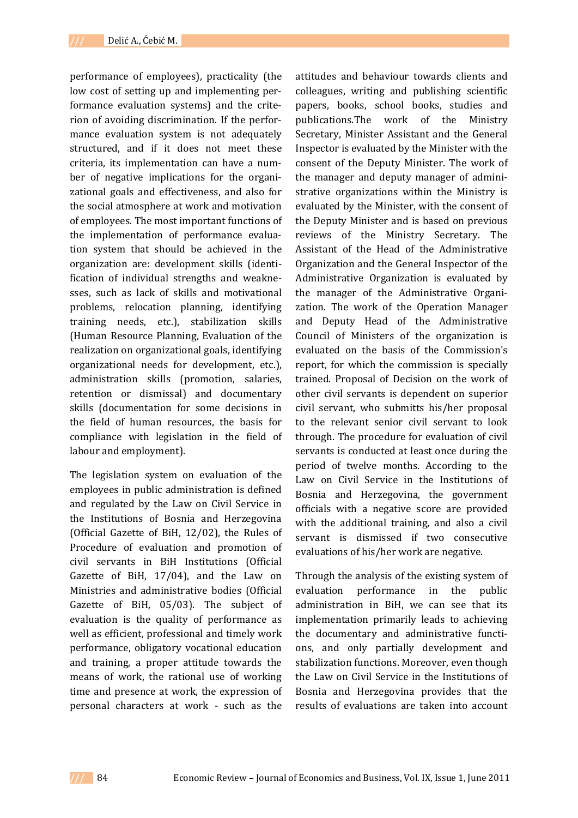performance of employees), practicality (the low cost of setting up and implementing performance evaluation systems) and the criterion of avoiding discrimination. If the performance evaluation system is not adequately structured, and if it does not meet these criteria, its implementation can have a num‐ ber of negative implications for the organizational goals and effectiveness, and also for the social atmosphere at work and motivation of employees. The most important functions of the implementation of performance evalua‐ tion system that should be achieved in the organization are: development skills (identi‐ fication of individual strengths and weakne‐ sses, such as lack of skills and motivational problems, relocation planning, identifying training needs, etc.), stabilization skills (Human Resource Planning, Evaluation of the realization on organizational goals, identifying organizational needs for development, etc.), administration skills (promotion, salaries, retention or dismissal) and documentary skills (documentation for some decisions in the field of human resources, the basis for compliance with legislation in the field of labour and employment).

The legislation system on evaluation of the employees in public administration is defined and regulated by the Law on Civil Service in the Institutions of Bosnia and Herzegovina (Official Gazette of BiH, 12/02), the Rules of Procedure of evaluation and promotion of civil servants in BiH Institutions (Official Gazette of BiH, 17/04), and the Law on Ministries and administrative bodies (Official Gazette of BiH, 05/03). The subject of evaluation is the quality of performance as well as efficient, professional and timely work performance, obligatory vocational education and training, a proper attitude towards the means of work, the rational use of working time and presence at work, the expression of personal characters at work ‐ such as the

attitudes and behaviour towards clients and colleagues, writing and publishing scientific papers, books, school books, studies and publications.The work of the Ministry Secretary, Minister Assistant and the General Inspector is evaluated by the Minister with the consent of the Deputy Minister. The work of the manager and deputy manager of admini‐ strative organizations within the Ministry is evaluated by the Minister, with the consent of the Deputy Minister and is based on previous reviews of the Ministry Secretary. The Assistant of the Head of the Administrative Organization and the General Inspector of the Administrative Organization is evaluated by the manager of the Administrative Organi‐ zation. The work of the Operation Manager and Deputy Head of the Administrative Council of Ministers of the organization is evaluated on the basis of the Commission's report, for which the commission is specially trained. Proposal of Decision on the work of other civil servants is dependent on superior civil servant, who submitts his/her proposal to the relevant senior civil servant to look through. The procedure for evaluation of civil servants is conducted at least once during the period of twelve months. According to the Law on Civil Service in the Institutions of Bosnia and Herzegovina, the government officials with a negative score are provided with the additional training, and also a civil servant is dismissed if two consecutive evaluations of his/her work are negative.

Through the analysis of the existing system of evaluation performance in the public administration in BiH, we can see that its implementation primarily leads to achieving the documentary and administrative functi‐ ons, and only partially development and stabilization functions. Moreover, even though the Law on Civil Service in the Institutions of Bosnia and Herzegovina provides that the results of evaluations are taken into account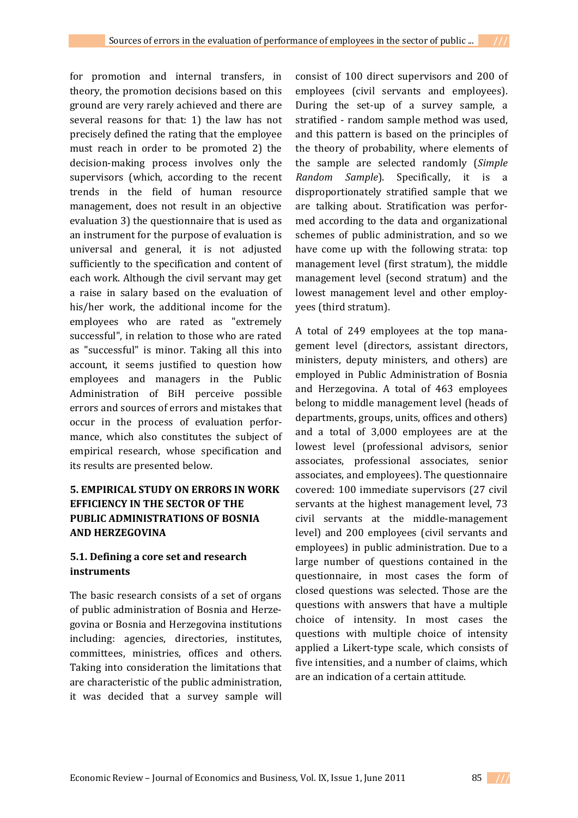for promotion and internal transfers, in theory, the promotion decisions based on this ground are very rarely achieved and there are several reasons for that: 1) the law has not precisely defined the rating that the employee must reach in order to be promoted 2) the decision‐making process involves only the supervisors (which, according to the recent trends in the field of human resource management, does not result in an objective evaluation 3) the questionnaire that is used as an instrument for the purpose of evaluation is universal and general, it is not adjusted sufficiently to the specification and content of each work. Although the civil servant may get a raise in salary based on the evaluation of his/her work, the additional income for the employees who are rated as "extremely successful", in relation to those who are rated as "successful" is minor. Taking all this into account, it seems justified to question how employees and managers in the Public Administration of BiH perceive possible errors and sources of errors and mistakes that occur in the process of evaluation perfor‐ mance, which also constitutes the subject of empirical research, whose specification and its results are presented below.

# **5. EMPIRICAL STUDY ON ERRORS IN WORK EFFICIENCY IN THE SECTOR OF THE PUBLIC ADMINISTRATIONS OF BOSNIA AND HERZEGOVINA**

## **5.1. Defining a core set and research instruments**

The basic research consists of a set of organs of public administration of Bosnia and Herze‐ govina or Bosnia and Herzegovina institutions including: agencies, directories, institutes, committees, ministries, offices and others. Taking into consideration the limitations that are characteristic of the public administration, it was decided that a survey sample will

consist of 100 direct supervisors and 200 of employees (civil servants and employees). During the set-up of a survey sample, a stratified - random sample method was used, and this pattern is based on the principles of the theory of probability, where elements of the sample are selected randomly (*Simple Random Sample*). Specifically, it is a disproportionately stratified sample that we are talking about. Stratification was perfor‐ med according to the data and organizational schemes of public administration, and so we have come up with the following strata: top management level (first stratum), the middle management level (second stratum) and the lowest management level and other employyees (third stratum).

A total of 249 employees at the top mana‐ gement level (directors, assistant directors, ministers, deputy ministers, and others) are employed in Public Administration of Bosnia and Herzegovina. A total of 463 employees belong to middle management level (heads of departments, groups, units, offices and others) and a total of 3,000 employees are at the lowest level (professional advisors, senior associates, professional associates, senior associates, and employees). The questionnaire covered: 100 immediate supervisors (27 civil servants at the highest management level, 73 civil servants at the middle‐management level) and 200 employees (civil servants and employees) in public administration. Due to a large number of questions contained in the questionnaire, in most cases the form of closed questions was selected. Those are the questions with answers that have a multiple choice of intensity. In most cases the questions with multiple choice of intensity applied a Likert‐type scale, which consists of five intensities, and a number of claims, which are an indication of a certain attitude.

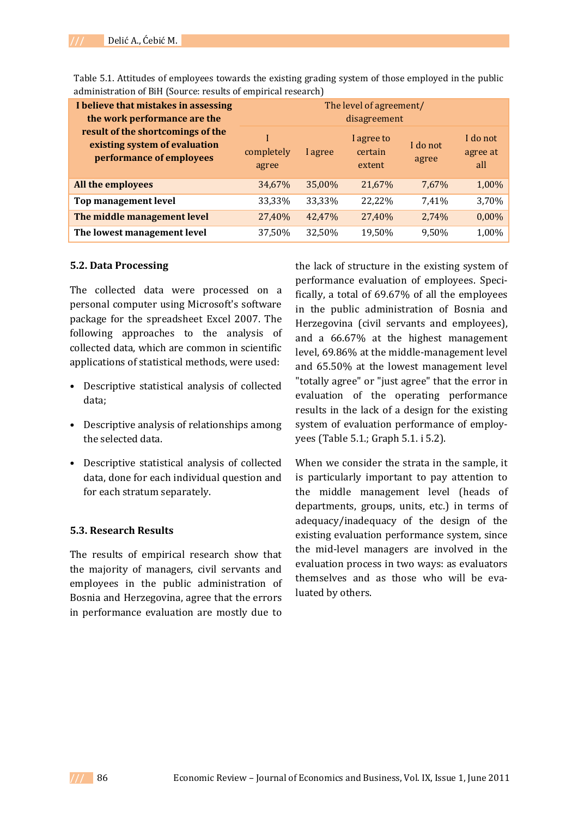| I believe that mistakes in assessing<br>the work performance are the<br>result of the shortcomings of the<br>existing system of evaluation<br>performance of employees | The level of agreement/<br>disagreement |         |                                 |                   |                             |  |
|------------------------------------------------------------------------------------------------------------------------------------------------------------------------|-----------------------------------------|---------|---------------------------------|-------------------|-----------------------------|--|
|                                                                                                                                                                        | completely<br>agree                     | I agree | I agree to<br>certain<br>extent | I do not<br>agree | I do not<br>agree at<br>all |  |
| All the employees                                                                                                                                                      | 34,67%                                  | 35,00%  | 21,67%                          | 7,67%             | 1,00%                       |  |
| Top management level                                                                                                                                                   | 33,33%                                  | 33,33%  | 22,22%                          | 7,41%             | 3,70%                       |  |
| The middle management level                                                                                                                                            | 27,40%                                  | 42,47%  | 27,40%                          | 2,74%             | 0,00%                       |  |
| The lowest management level                                                                                                                                            | 37,50%                                  | 32,50%  | 19,50%                          | 9,50%             | 1,00%                       |  |

Table 5.1. Attitudes of employees towards the existing grading system of those employed in the public administration of BiH (Source: results of empirical research)

#### **5.2. Data Processing**

The collected data were processed on a personal computer using Microsoft's software package for the spreadsheet Excel 2007. The following approaches to the analysis of collected data, which are common in scientific applications of statistical methods, were used:

- Descriptive statistical analysis of collected data;
- Descriptive analysis of relationships among the selected data.
- Descriptive statistical analysis of collected data, done for each individual question and for each stratum separately.

#### **5.3. Research Results**

The results of empirical research show that the majority of managers, civil servants and employees in the public administration of Bosnia and Herzegovina, agree that the errors in performance evaluation are mostly due to

the lack of structure in the existing system of performance evaluation of employees. Speci‐ fically, a total of 69.67% of all the employees in the public administration of Bosnia and Herzegovina (civil servants and employees), and a 66.67% at the highest management level, 69.86% at the middle‐management level and 65.50% at the lowest management level "totally agree" or "just agree" that the error in evaluation of the operating performance results in the lack of a design for the existing system of evaluation performance of employyees (Table 5.1.; Graph 5.1. i 5.2).

When we consider the strata in the sample, it is particularly important to pay attention to the middle management level (heads of departments, groups, units, etc.) in terms of adequacy/inadequacy of the design of the existing evaluation performance system, since the mid‐level managers are involved in the evaluation process in two ways: as evaluators themselves and as those who will be evaluated by others.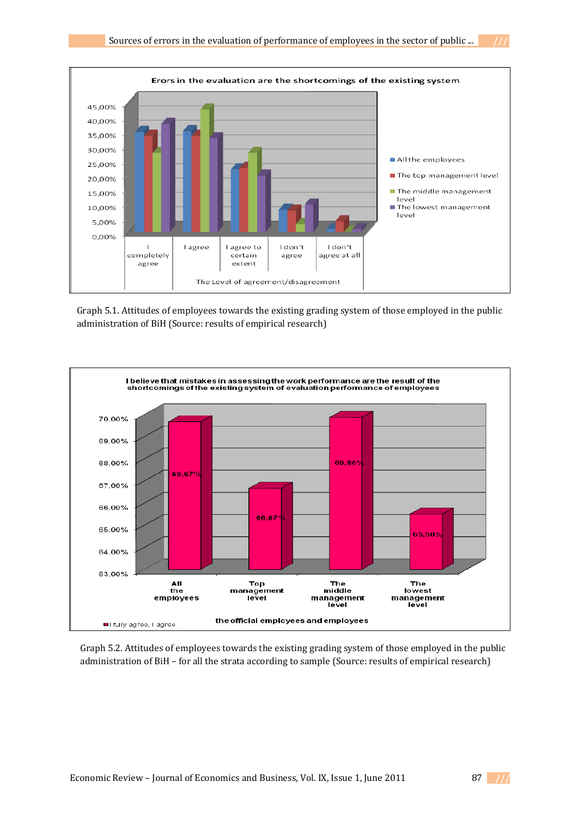

*Graph 5.1. Attitudes of employees towards the* Graph 5.1. Attitudes of employees towards the existing grading system of those employed in the public *administration of BiH (Source: results of empirical research)* 



*Graph 5.2. Attitudes of employees towards the* Graph 5.2. Attitudes of employees towards the existing grading system of those employed in the public *existing grading system of those employed in the* administration of BiH – for all the strata according to sample (Source: results of empirical research)

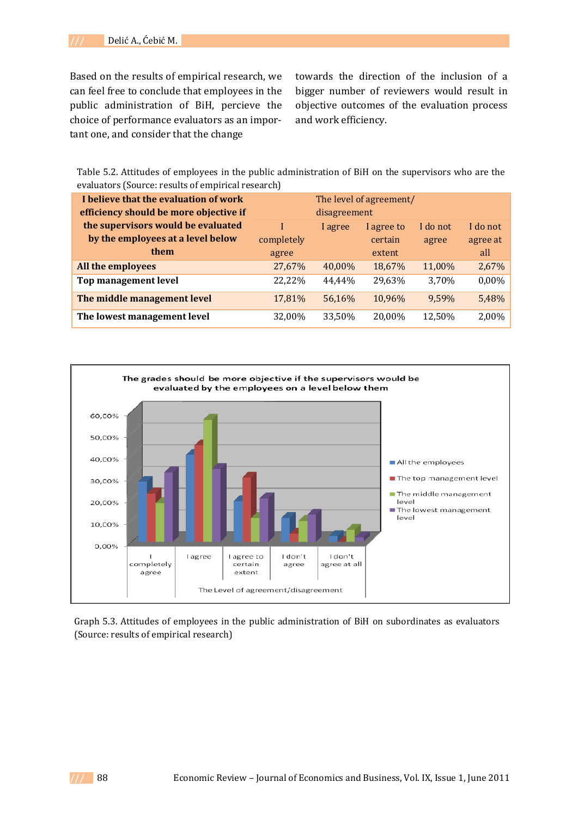Based on the results of empirical research, we can feel free to conclude that employees in the public administration of BiH, percieve the choice of performance evaluators as an impor‐ tant one, and consider that the change

towards the direction of the inclusion of a bigger number of reviewers would result in objective outcomes of the evaluation process and work efficiency.

Table 5.2. Attitudes of employees in the public administration of BiH on the supervisors who are the evaluators (Source: results of empirical research)

| I believe that the evaluation of work<br>efficiency should be more objective if | The level of agreement/<br>disagreement |         |            |          |          |
|---------------------------------------------------------------------------------|-----------------------------------------|---------|------------|----------|----------|
| the supervisors would be evaluated                                              |                                         | I agree | I agree to | I do not | I do not |
| by the employees at a level below                                               | completely                              |         | certain    | agree    | agree at |
| them                                                                            | agree                                   |         | extent     |          | all      |
| All the employees                                                               | 27,67%                                  | 40,00%  | 18,67%     | 11,00%   | 2,67%    |
| Top management level                                                            | 22,22%                                  | 44.44%  | 29,63%     | 3,70%    | 0,00%    |
| The middle management level                                                     | 17,81%                                  | 56,16%  | 10,96%     | 9.59%    | 5,48%    |
| The lowest management level                                                     | 32,00%                                  | 33,50%  | 20,00%     | 12,50%   | 2,00%    |



Graph 5.3. Attitudes of employees in the public administration of BiH on subordinates as evaluators (Source: results of empirical research)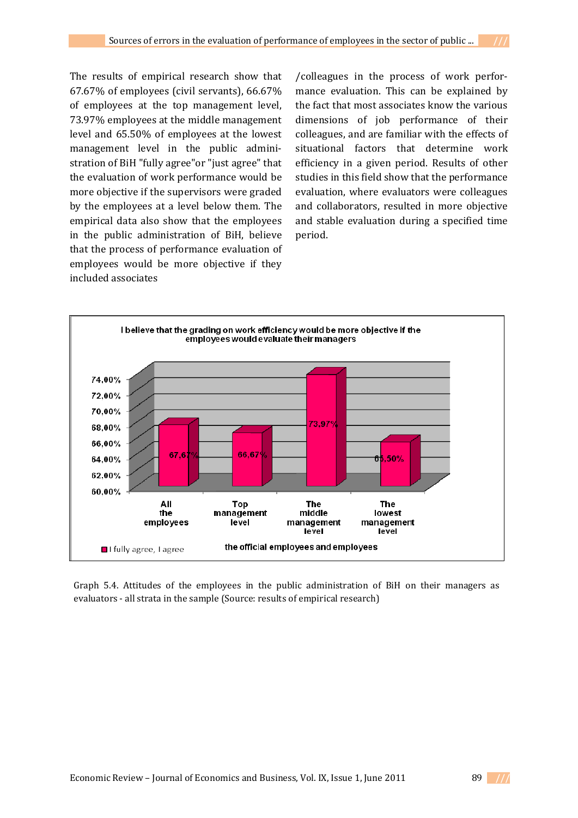The results of empirical research show that 67.67% of employees (civil servants), 66.67% of employees at the top management level, 73.97% employees at the middle management level and 65.50% of employees at the lowest management level in the public administration of BiH "fully agree"or "just agree" that the evaluation of work performance would be more objective if the supervisors were graded by the employees at a level below them. The empirical data also show that the employees in the public administration of BiH, believe that the process of performance evaluation of employees would be more objective if they included associates

/colleagues in the process of work perfor‐ mance evaluation. This can be explained by the fact that most associates know the various dimensions of job performance of their colleagues, and are familiar with the effects of situational factors that determine work efficiency in a given period. Results of other studies in this field show that the performance evaluation, where evaluators were colleagues and collaborators, resulted in more objective and stable evaluation during a specified time period.



Graph 5.4. Attitudes of the employees in the public administration of BiH on their managers as *of empirical research)* evaluators ‐ all strata in the sample (Source: results of empirical research)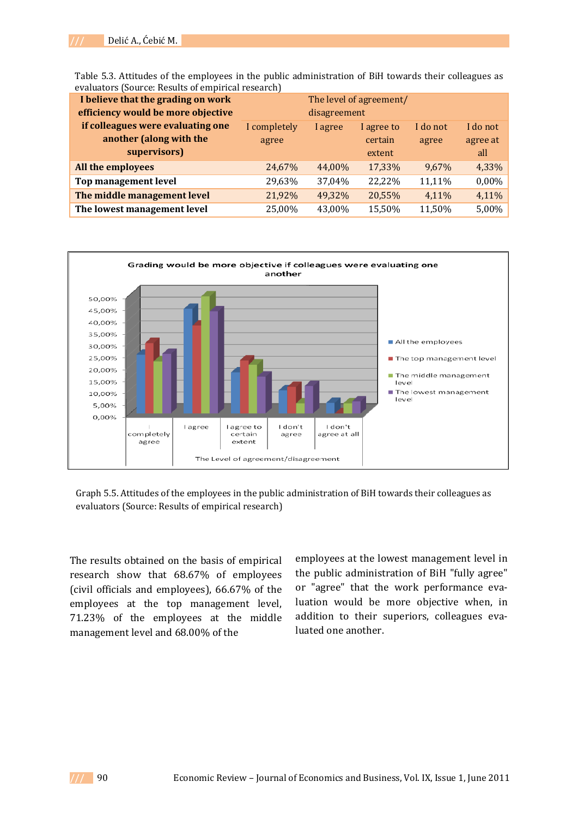Table 5.3. Attitudes of the employees in the public administration of BiH towards their colleagues as evaluators (Source: Results of empirical research)

| I believe that the grading on work | The level of agreement/ |         |            |          |          |
|------------------------------------|-------------------------|---------|------------|----------|----------|
| efficiency would be more objective | disagreement            |         |            |          |          |
| if colleagues were evaluating one  | I completely            | I agree | I agree to | I do not | I do not |
| another (along with the            | agree                   |         | certain    | agree    | agree at |
| supervisors)                       |                         |         | extent     |          | all      |
| All the employees                  | 24,67%                  | 44,00%  | 17,33%     | 9,67%    | 4,33%    |
| Top management level               | 29,63%                  | 37,04%  | 22,22%     | 11,11%   | 0,00%    |
| The middle management level        | 21,92%                  | 49,32%  | 20,55%     | 4,11%    | 4,11%    |
| The lowest management level        | 25,00%                  | 43.00%  | 15,50%     | 11,50%   | 5,00%    |



*Graph 5.5. Attitudes of the employees in the public* Graph 5.5. Attitudes of the employees in the public administration of BiH towards their colleagues as *administration of BiH towards their colleagues as evaluators (Source: Results of empirical research)* evaluators (Source: Results of empirical research)

The results obtained on the basis of empirical research show that 68.67% of employees (civil officials and employees), 66.67% of the employees at the top management level, 71.23% of the employees at the middle management level and 68.00% of the

employees at the lowest management level in the public administration of BiH "fully agree" or "agree" that the work performance evaluation would be more objective when, in addition to their superiors, colleagues eva‐ luated one another.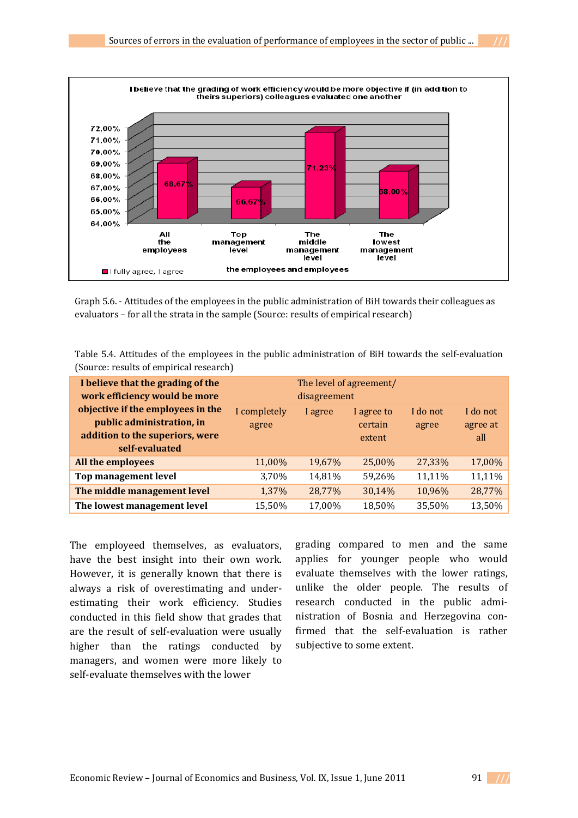

*administration of BiH towards their colleagues as* Graph 5.6. ‐ Attitudes of the employees in the public administration of BiH towards their colleagues as *evaluators – for all the strata in the sample (Source:* evaluators – for all the strata in the sample (Source: results of empirical research)

| Table 5.4. Attitudes of the employees in the public administration of BiH towards the self-evaluation |  |
|-------------------------------------------------------------------------------------------------------|--|
| (Source: results of empirical research)                                                               |  |

| I believe that the grading of the<br>work efficiency would be more<br>objective if the employees in the<br>public administration, in<br>addition to the superiors, were<br>self-evaluated | The level of agreement/<br>disagreement |         |                                 |                   |                             |
|-------------------------------------------------------------------------------------------------------------------------------------------------------------------------------------------|-----------------------------------------|---------|---------------------------------|-------------------|-----------------------------|
|                                                                                                                                                                                           | I completely<br>agree                   | I agree | I agree to<br>certain<br>extent | I do not<br>agree | I do not<br>agree at<br>all |
| All the employees                                                                                                                                                                         | 11,00%                                  | 19,67%  | 25,00%                          | 27,33%            | 17,00%                      |
| Top management level                                                                                                                                                                      | 3,70%                                   | 14,81%  | 59,26%                          | 11,11%            | 11,11%                      |
| The middle management level                                                                                                                                                               | 1,37%                                   | 28,77%  | 30,14%                          | 10,96%            | 28,77%                      |
| The lowest management level                                                                                                                                                               | 15,50%                                  | 17,00%  | 18,50%                          | 35,50%            | 13,50%                      |

The employeed themselves, as evaluators, have the best insight into their own work. However, it is generally known that there is always a risk of overestimating and under‐ estimating their work efficiency. Studies conducted in this field show that grades that are the result of self‐evaluation were usually higher than the ratings conducted by managers, and women were more likely to self‐evaluate themselves with the lower

grading compared to men and the same applies for younger people who would evaluate themselves with the lower ratings, unlike the older people. The results of research conducted in the public admi‐ nistration of Bosnia and Herzegovina con‐ firmed that the self-evaluation is rather subjective to some extent.

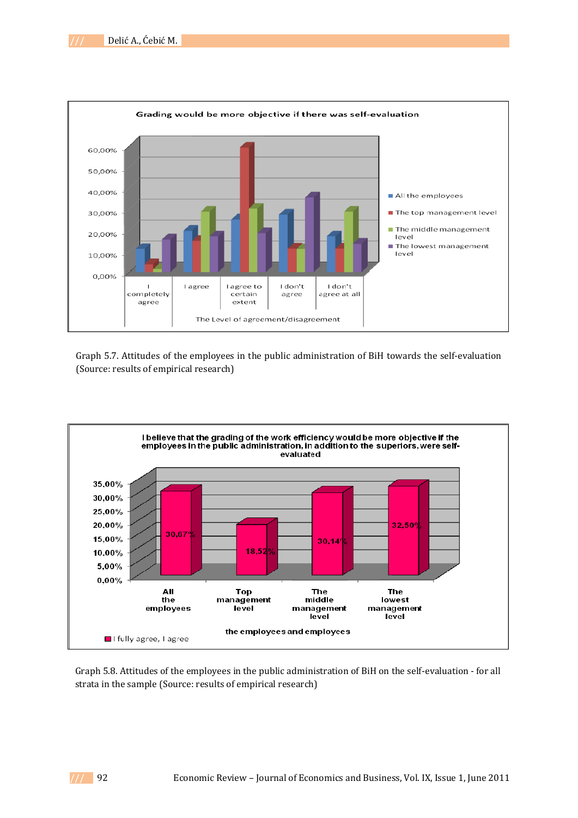

*Graph 5.7. Attitudes of the employees in the public* (Source: results of empirical research) Graph 5.7. Attitudes of the employees in the public administration of BiH towards the self‐evaluation



*Graph 5.8. Attitudes of the employees in the public* strata in the sample (Source: results of empirical research)Graph 5.8. Attitudes of the employees in the public administration of BiH on the self‐evaluation ‐ for all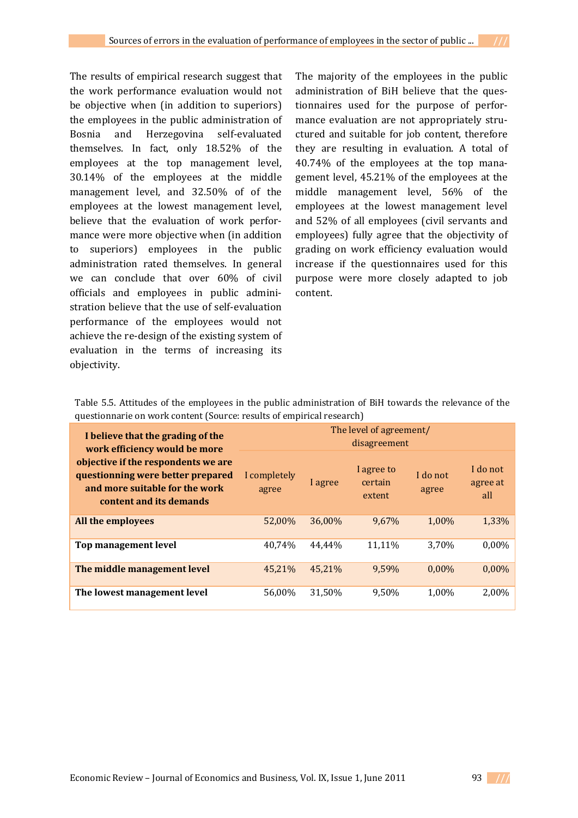The results of empirical research suggest that the work performance evaluation would not be objective when (in addition to superiors) the employees in the public administration of Bosnia and Herzegovina self‐evaluated themselves. In fact, only 18.52% of the employees at the top management level, 30.14% of the employees at the middle management level, and 32.50% of of the employees at the lowest management level, believe that the evaluation of work performance were more objective when (in addition to superiors) employees in the public administration rated themselves. In general we can conclude that over 60% of civil officials and employees in public admini‐ stration believe that the use of self‐evaluation performance of the employees would not achieve the re‐design of the existing system of evaluation in the terms of increasing its objectivity.

The majority of the employees in the public administration of BiH believe that the questionnaires used for the purpose of perfor‐ mance evaluation are not appropriately structured and suitable for job content, therefore they are resulting in evaluation. A total of 40.74% of the employees at the top mana‐ gement level, 45.21% of the employees at the middle management level, 56% of the employees at the lowest management level and 52% of all employees (civil servants and employees) fully agree that the objectivity of grading on work efficiency evaluation would increase if the questionnaires used for this purpose were more closely adapted to job content.

Table 5.5. Attitudes of the employees in the public administration of BiH towards the relevance of the questionnarie on work content (Source: results of empirical research)

| I believe that the grading of the<br>work efficiency would be more<br>objective if the respondents we are<br>questionning were better prepared<br>and more suitable for the work<br>content and its demands | The level of agreement/<br>disagreement |         |                                 |                   |                             |  |
|-------------------------------------------------------------------------------------------------------------------------------------------------------------------------------------------------------------|-----------------------------------------|---------|---------------------------------|-------------------|-----------------------------|--|
|                                                                                                                                                                                                             | I completely<br>agree                   | l agree | I agree to<br>certain<br>extent | I do not<br>agree | I do not<br>agree at<br>all |  |
| All the employees                                                                                                                                                                                           | 52.00%                                  | 36,00%  | 9,67%                           | 1,00%             | 1,33%                       |  |
| Top management level                                                                                                                                                                                        | 40.74%                                  | 44.44%  | 11.11%                          | 3,70%             | $0.00\%$                    |  |
| The middle management level                                                                                                                                                                                 | 45.21%                                  | 45.21%  | 9.59%                           | $0.00\%$          | $0.00\%$                    |  |
| The lowest management level                                                                                                                                                                                 | 56.00%                                  | 31,50%  | 9.50%                           | 1.00%             | 2,00%                       |  |

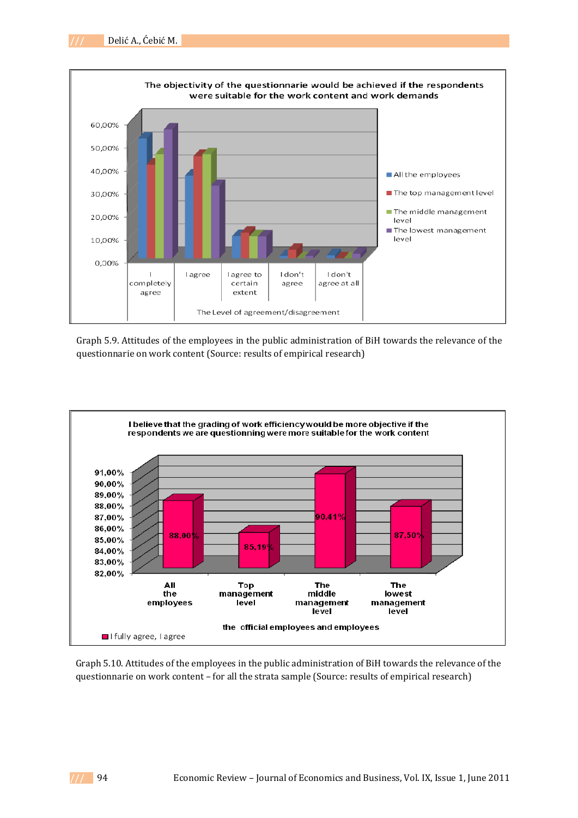

*Graph 5.9. Attitudes of the employees in the public* Graph 5.9. Attitudes of the employees in the public administration of BiH towards the relevance of the *administration of BiH towards the relevance of the* questionnarie on work content (Source: results of empirical research)



*Graph 5.10. Attitudes of the employees in the public* Graph 5.10. Attitudes of the employees in the public administration of BiH towards the relevance of the *administration of BiH towards the relevance of the* questionnarie on work content – for all the strata sample (Source: results of empirical research)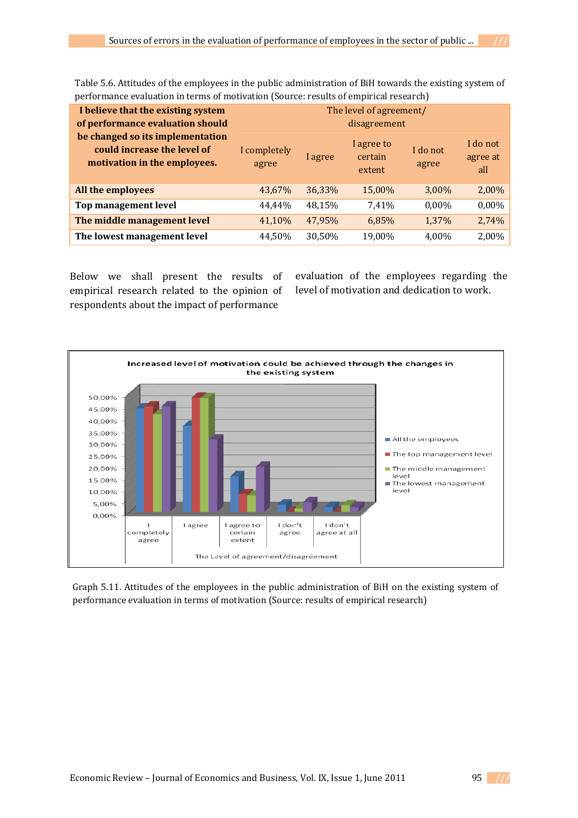Table 5.6. Attitudes of the employees in the public administration of BiH towards the existing system of performance evaluation in terms of motivation (Source: results of empirical research)

| I believe that the existing system<br>of performance evaluation should<br>be changed so its implementation<br>could increase the level of<br>motivation in the employees. | The level of agreement/<br>disagreement |         |                                 |                   |                             |  |
|---------------------------------------------------------------------------------------------------------------------------------------------------------------------------|-----------------------------------------|---------|---------------------------------|-------------------|-----------------------------|--|
|                                                                                                                                                                           | I completely<br>agree                   | l agree | I agree to<br>certain<br>extent | I do not<br>agree | I do not<br>agree at<br>all |  |
| All the employees                                                                                                                                                         | 43,67%                                  | 36,33%  | 15,00%                          | 3,00%             | 2,00%                       |  |
| Top management level                                                                                                                                                      | 44.44%                                  | 48,15%  | 7,41%                           | $0,00\%$          | 0,00%                       |  |
| The middle management level                                                                                                                                               | 41,10%                                  | 47,95%  | 6,85%                           | 1,37%             | 2,74%                       |  |
| The lowest management level                                                                                                                                               | 44,50%                                  | 30,50%  | 19,00%                          | 4,00%             | 2,00%                       |  |

Below we shall present the results of empirical research related to the opinion of respondents about the impact of performance

evaluation of the employees regarding the level of motivation and dedication to work.



**Proformance evaluation in terms of motivation (Source: results of empirical research)** *administration of BiH on the existing system of* Graph 5.11. Attitudes of the employees in the public administration of BiH on the existing system of

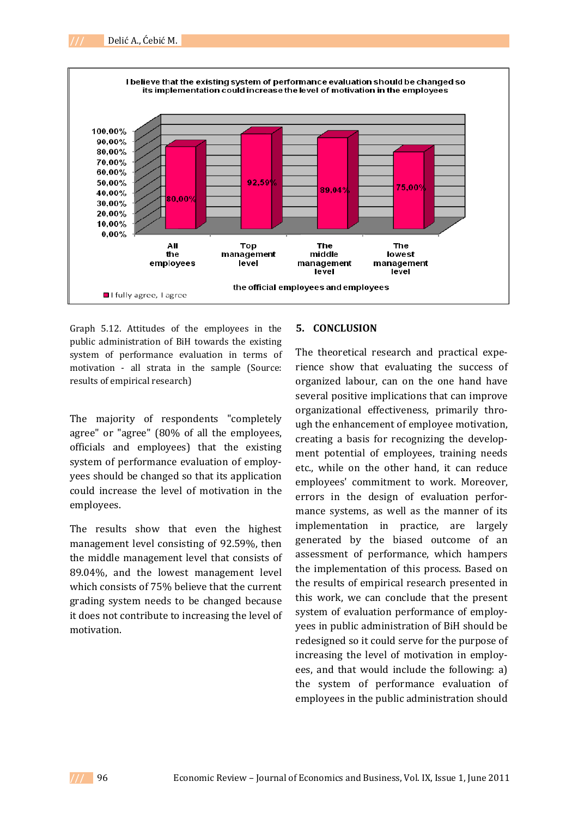



Graph 5.12. Attitudes of the employees in the public administration of BiH towards the existing system of performance evaluation in terms of motivation - all strata in the sample (Source: results of empirical research)

The majority of respondents "completely agree" or "agree" (80% of all the employees, officials and employees) that the existing system of performance evaluation of employ‐ yees should be changed so that its application could increase the level of motivation in the employees.

The results show that even the highest management level consisting of 92.59%, then the middle management level that consists of 89.04%, and the lowest management level which consists of 75% believe that the current grading system needs to be changed because it does not contribute to increasing the level of motivation.

### **5. CONCLUSION**

The theoretical research and practical experience show that evaluating the success of organized labour, can on the one hand have several positive implications that can improve organizational effectiveness, primarily thro‐ ugh the enhancement of employee motivation, creating a basis for recognizing the develop‐ ment potential of employees, training needs etc., while on the other hand, it can reduce employees' commitment to work. Moreover, errors in the design of evaluation performance systems, as well as the manner of its implementation in practice, are largely generated by the biased outcome of an assessment of performance, which hampers the implementation of this process. Based on the results of empirical research presented in this work, we can conclude that the present system of evaluation performance of employyees in public administration of BiH should be redesigned so it could serve for the purpose of increasing the level of motivation in employ‐ ees, and that would include the following: a) the system of performance evaluation of employees in the public administration should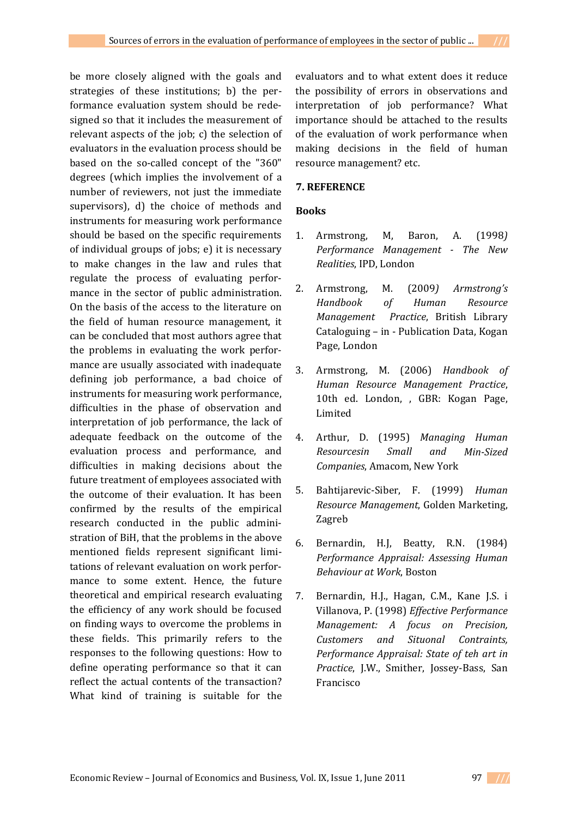be more closely aligned with the goals and strategies of these institutions; b) the per‐ formance evaluation system should be rede‐ signed so that it includes the measurement of relevant aspects of the job; c) the selection of evaluators in the evaluation process should be based on the so-called concept of the "360" degrees (which implies the involvement of a number of reviewers, not just the immediate supervisors), d) the choice of methods and instruments for measuring work performance should be based on the specific requirements of individual groups of jobs; e) it is necessary to make changes in the law and rules that regulate the process of evaluating perfor‐ mance in the sector of public administration. On the basis of the access to the literature on the field of human resource management, it can be concluded that most authors agree that the problems in evaluating the work performance are usually associated with inadequate defining job performance, a bad choice of instruments for measuring work performance, difficulties in the phase of observation and interpretation of job performance, the lack of adequate feedback on the outcome of the evaluation process and performance, and difficulties in making decisions about the future treatment of employees associated with the outcome of their evaluation. It has been confirmed by the results of the empirical research conducted in the public admini‐ stration of BiH, that the problems in the above mentioned fields represent significant limi‐ tations of relevant evaluation on work perfor‐ mance to some extent. Hence, the future theoretical and empirical research evaluating the efficiency of any work should be focused on finding ways to overcome the problems in these fields. This primarily refers to the responses to the following questions: How to define operating performance so that it can reflect the actual contents of the transaction? What kind of training is suitable for the

evaluators and to what extent does it reduce the possibility of errors in observations and interpretation of job performance? What importance should be attached to the results of the evaluation of work performance when making decisions in the field of human resource management? etc.

### **7. REFERENCE**

### **Books**

- 1. Armstrong, M, Baron, A. (1998*) Performance Management The New Realities*, IPD, London
- 2. Armstrong, M. (2009*) Armstrong's Handbook of Human Resource Management Practice*, British Library Cataloguing – in ‐ Publication Data, Kogan Page, London
- 3. Armstrong, M. (2006) *Handbook of Human Resource Management Practice*, 10th ed. London, , GBR: Kogan Page, Limited
- 4. Arthur, D. (1995) *Managing Human Resourcesin Small and MinSized Companies*, Amacom, New York
- 5. Bahtijarevic‐Siber, F. (1999) *Human Resource Management*, Golden Marketing, Zagreb
- 6. Bernardin, H.J, Beatty, R.N. (1984) *Performance Appraisal: Assessing Human Behaviour at Work*, Boston
- 7. Bernardin, H.J., Hagan, C.M., Kane J.S. i Villanova, P. (1998) *Effective Performance Management: A focus on Precision, Customers and Situonal Contraints, Performance Appraisal: State of teh art in Practice*, J.W., Smither, Jossey‐Bass, San Francisco

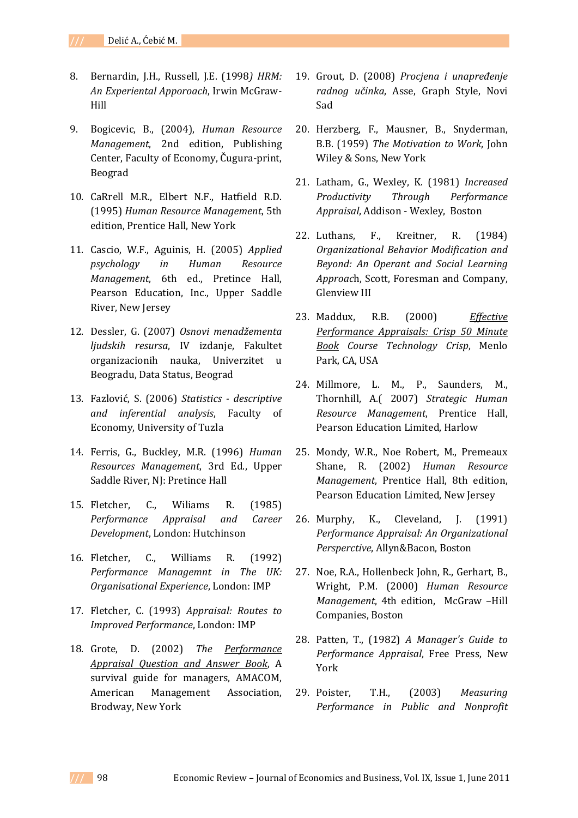- 8. Bernardin, J.H., Russell, J.E. (1998*) HRM: An Experiental Apporoach*, Irwin McGraw‐ Hill
- 9. Bogicevic, B., (2004), *Human Resource Management*, 2nd edition, Publishing Center, Faculty of Economy, Čugura‐print, Beograd
- 10. CaRrell M.R., Elbert N.F., Hatfield R.D. (1995) *Human Resource Management*, 5th edition, Prentice Hall, New York
- 11. Cascio, W.F., Aguinis, H. (2005) *Applied psychology in Human Resource Management*, 6th ed., Pretince Hall, Pearson Education, Inc., Upper Saddle River, New Jersey
- 12. Dessler, G. (2007) *Osnovi menadžementa ljudskih resursa*, IV izdanje, Fakultet organizacionih nauka, Univerzitet u Beogradu, Data Status, Beograd
- 13. Fazlović, S. (2006) *Statistics descriptive and inferential analysis*, Faculty of Economy, University of Tuzla
- 14. Ferris, G., Buckley, M.R. (1996) *Human Resources Management*, 3rd Ed., Upper Saddle River, NJ: Pretince Hall
- 15. Fletcher, C., Wiliams R. (1985) *Performance Appraisal and Career Development*, London: Hutchinson
- 16. Fletcher, C., Williams R. (1992) *Performance Managemnt in The UK: Organisational Experience*, London: IMP
- 17. Fletcher, C. (1993) *Appraisal: Routes to Improved Performance*, London: IMP
- 18. Grote, D. (2002) *The Performance Appraisal Question and Answer Book*, A survival guide for managers, AMACOM, American Management Association, Brodway, New York
- 19. Grout, D. (2008) *Procjena i unapređenje radnog učinka*, Asse, Graph Style, Novi Sad
- 20. Herzberg, F., Mausner, B., Snyderman, B.B. (1959) *The Motivation to Work*, John Wiley & Sons, New York
- 21. Latham, G., Wexley, K. (1981) *Increased Productivity Through Performance Appraisal*, Addison ‐ Wexley, Boston
- 22. Luthans, F., Kreitner, R. (1984) *Organizational Behavior Modification and Beyond: An Operant and Social Learning Approac*h, Scott, Foresman and Company, Glenview III
- 23. Maddux, R.B. (2000) *Effective Performance Appraisals: Crisp 50 Minute Book Course Technology Crisp*, Menlo Park, CA, USA
- 24. Millmore, L. M., P., Saunders, M., Thornhill, A.( 2007) *Strategic Human Resource Management*, Prentice Hall, Pearson Education Limited, Harlow
- 25. Mondy, W.R., Noe Robert, M., Premeaux Shane, R. (2002) *Human Resource Management*, Prentice Hall, 8th edition, Pearson Education Limited, New Jersey
- 26. Murphy, K., Cleveland, J. (1991) *Performance Appraisal: An Organizational Persperctive*, Allyn&Bacon, Boston
- 27. Noe, R.A., Hollenbeck John, R., Gerhart, B., Wright, P.M. (2000) *Human Resource Management*, 4th edition, McGraw –Hill Companies, Boston
- 28. Patten, T., (1982) *A Manager's Guide to Performance Appraisal*, Free Press, New York
- 29. Poister, T.H., (2003) *Measuring Performance in Public and Nonprofit*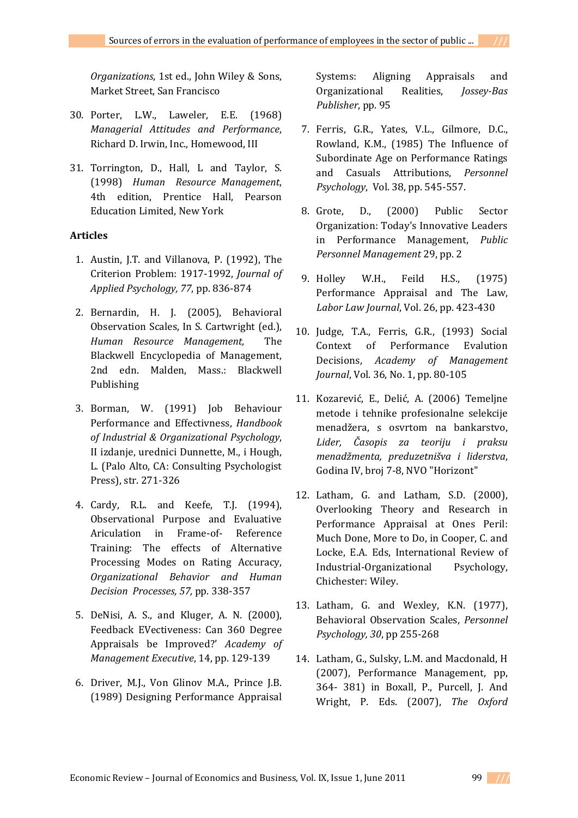*Organizations*, 1st ed., John Wiley & Sons, Market Street, San Francisco

- 30. Porter, L.W., Laweler, E.E. (1968) *Managerial Attitudes and Performance*, Richard D. Irwin, Inc., Homewood, III
- 31. Torrington, D., Hall, L and Taylor, S. (1998) *Human Resource Management*, 4th edition, Prentice Hall, Pearson Education Limited, New York

# **Articles**

- 1. Austin, J.T. and Villanova, P. (1992), The Criterion Problem: 1917‐1992, *Journal of Applied Psychology, 77*, pp. 836‐874
- 2. Bernardin, H. J. (2005), Behavioral Observation Scales, In S. Cartwright (ed.), *Human Resource Management,* The Blackwell Encyclopedia of Management, 2nd edn. Malden, Mass.: Blackwell Publishing
- 3. Borman, W. (1991) Job Behaviour Performance and Effectivness, *Handbook of Industrial & Organizational Psychology*, II izdanje, urednici Dunnette, M., i Hough, L. (Palo Alto, CA: Consulting Psychologist Press), str. 271‐326
- 4. Cardy, R.L. and Keefe, T.J. (1994), Observational Purpose and Evaluative Ariculation in Frame‐of‐ Reference Training: The effects of Alternative Processing Modes on Rating Accuracy, *Organizational Behavior and Human Decision Processes, 57,* pp. 338‐357
- 5. DeNisi, A. S., and Kluger, A. N. (2000), Feedback EVectiveness: Can 360 Degree Appraisals be Improved?' *Academy of Management Executive*, 14, pp. 129‐139
- 6. Driver, M.J., Von Glinov M.A., Prince J.B. (1989) Designing Performance Appraisal

Systems: Aligning Appraisals and Organizational Realities, *JosseyBas Publisher*, pp. 95

- 7. Ferris, G.R., Yates, V.L., Gilmore, D.C., Rowland, K.M., (1985) The Influence of Subordinate Age on Performance Ratings and Casuals Attributions, *Personnel Psychology*, Vol. 38, pp. 545‐557.
- 8. Grote, D., (2000) Public Sector Organization: Today's Innovative Leaders in Performance Management, *Public Personnel Management* 29, pp. 2
- 9. Holley W.H., Feild H.S., (1975) Performance Appraisal and The Law, *Labor Law Journal*, Vol. 26, pp. 423‐430
- 10. Judge, T.A., Ferris, G.R., (1993) Social Context of Performance Evalution Decisions, *Academy of Management Journal*, Vol. 36, No. 1, pp. 80‐105
- 11. Kozarević, E., Delić, A. (2006) Temeljne metode i tehnike profesionalne selekcije menadžera, s osvrtom na bankarstvo, *Lider, Časopis za teoriju i praksu menadžmenta, preduzetnišva i liderstva*, Godina IV, broj 7‐8, NVO "Horizont"
- 12. Latham, G. and Latham, S.D. (2000), Overlooking Theory and Research in Performance Appraisal at Ones Peril: Much Done, More to Do, in Cooper, C. and Locke, E.A. Eds, International Review of Industrial‐Organizational Psychology, Chichester: Wiley.
- 13. Latham, G. and Wexley, K.N. (1977), Behavioral Observation Scales, *Personnel Psychology, 30*, pp 255‐268
- 14. Latham, G., Sulsky, L.M. and Macdonald, H (2007), Performance Management, pp, 364‐ 381) in Boxall, P., Purcell, J. And Wright, P. Eds. (2007), *The Oxford*

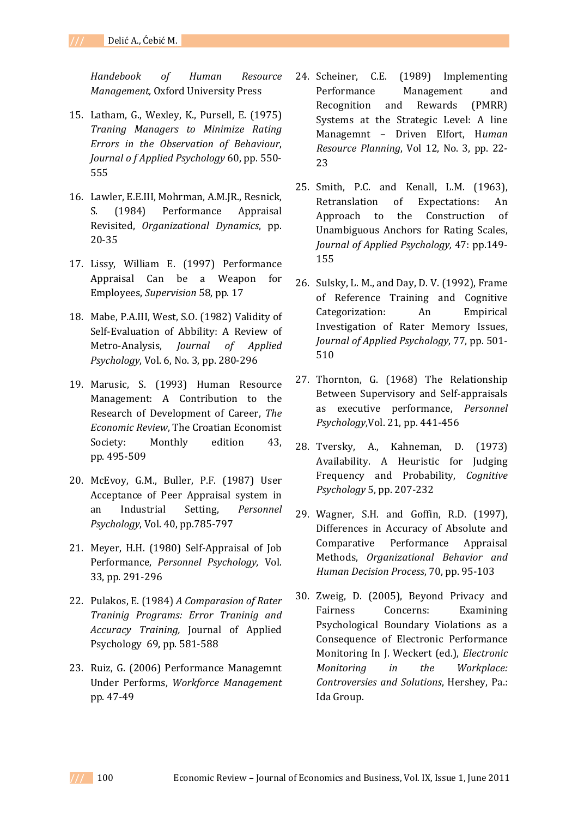*Handebook of Human Resource Management,* Oxford University Press

- 15. Latham, G., Wexley, K., Pursell, E. (1975) *Traning Managers to Minimize Rating Errors in the Observation of Behaviour*, *Journal o f Applied Psychology* 60, pp. 550‐ 555
- 16. Lawler, E.E.III, Mohrman, A.M.JR., Resnick, S. (1984) Performance Appraisal Revisited, *Organizational Dynamics*, pp. 20‐35
- 17. Lissy, William E. (1997) Performance Appraisal Can be a Weapon for Employees, *Supervision* 58, pp. 17
- 18. Mabe, P.A.III, West, S.O. (1982) Validity of Self‐Evaluation of Abbility: A Review of Metro‐Analysis, *Journal of Applied Psychology*, Vol. 6, No. 3, pp. 280‐296
- 19. Marusic, S. (1993) Human Resource Management: A Contribution to the Research of Development of Career, *The Economic Review*, The Croatian Economist Society: Monthly edition 43. pp. 495‐509
- 20. McEvoy, G.M., Buller, P.F. (1987) User Acceptance of Peer Appraisal system in an Industrial Setting, *Personnel Psychology*, Vol. 40, pp.785‐797
- 21. Meyer, H.H. (1980) Self‐Appraisal of Job Performance, *Personnel Psychology,* Vol. 33, pp. 291‐296
- 22. Pulakos, E. (1984) *A Comparasion of Rater Traninig Programs: Error Traninig and Accuracy Training,* Journal of Applied Psychology 69, pp. 581‐588
- 23. Ruiz, G. (2006) Performance Managemnt Under Performs, *Workforce Management* pp. 47‐49
- 24. Scheiner, C.E. (1989) Implementing Performance Management and Recognition and Rewards (PMRR) Systems at the Strategic Level: A line Managemnt – Driven Elfort, H*uman Resource Planning*, Vol 12, No. 3, pp. 22‐ 23
- 25. Smith, P.C. and Kenall, L.M. (1963), Retranslation of Expectations: An Approach to the Construction of Unambiguous Anchors for Rating Scales, *Journal of Applied Psychology,* 47: pp.149‐ 155
- 26. Sulsky, L. M., and Day, D. V. (1992), Frame of Reference Training and Cognitive Categorization: An Empirical Investigation of Rater Memory Issues, *Journal of Applied Psychology*, 77, pp. 501‐ 510
- 27. Thornton, G. (1968) The Relationship Between Supervisory and Self‐appraisals as executive performance, *Personnel Psychology*,Vol. 21, pp. 441‐456
- 28. Tversky, A., Kahneman, D. (1973) Availability. A Heuristic for Judging Frequency and Probability, *Cognitive Psychology* 5, pp. 207‐232
- 29. Wagner, S.H. and Goffin, R.D. (1997), Differences in Accuracy of Absolute and Comparative Performance Appraisal Methods, *Organizational Behavior and Human Decision Process*, 70, pp. 95‐103
- 30. Zweig, D. (2005), Beyond Privacy and Fairness Concerns: Examining Psychological Boundary Violations as a Consequence of Electronic Performance Monitoring In J. Weckert (ed.), *Electronic Monitoring in the Workplace: Controversies and Solutions*, Hershey, Pa.: Ida Group.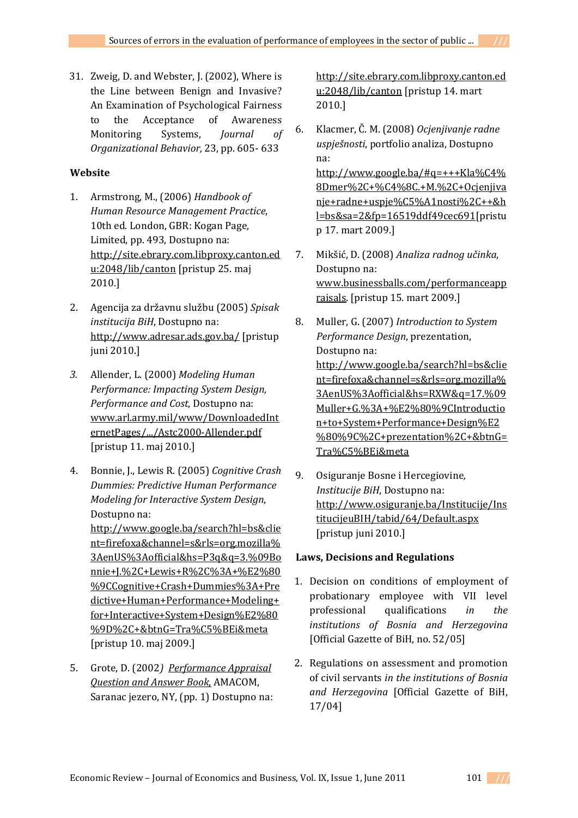31. Zweig, D. and Webster, J. (2002), Where is the Line between Benign and Invasive? An Examination of Psychological Fairness to the Acceptance of Awareness Monitoring Systems, *Journal of Organizational Behavior,* 23, pp. 605‐ 633

## **Website**

- 1. Armstrong, M., (2006) *Handbook of Human Resource Management Practice*, 10th ed. London, GBR: Kogan Page, Limited, pp. 493, Dostupno na: http://site.ebrary.com.libproxy.canton.ed u:2048/lib/canton [pristup 25. maj 2010.]
- 2. Agencija za državnu službu (2005) *Spisak institucija BiH*, Dostupno na: http://www.adresar.ads.gov.ba/ [pristup juni 2010.]
- *3.* Allender, L. (2000) *Modeling Human Performance: Impacting System Design, Performance and Cost*, Dostupno na: www.arl.army.mil/www/DownloadedInt ernetPages/.../Astc2000‐Allender.pdf [pristup 11. maj 2010.]
- 4. Bonnie, J., Lewis R. (2005) *Cognitive Crash Dummies: Predictive Human Performance Modeling for Interactive System Design*, Dostupno na: http://www.google.ba/search?hl=bs&clie nt=firefoxa&channel=s&rls=org.mozilla% 3AenUS%3Aofficial&hs=P3q&q=3.%09Bo nnie+J.%2C+Lewis+R%2C%3A+%E2%80 %9CCognitive+Crash+Dummies%3A+Pre dictive+Human+Performance+Modeling+ for+Interactive+System+Design%E2%80 %9D%2C+&btnG=Tra%C5%BEi&meta [pristup 10. maj 2009.]
- 5. Grote, D. (2002*) Performance Appraisal Question and Answer Book*, AMACOM, Saranac jezero, NY, (pp. 1) Dostupno na:

http://site.ebrary.com.libproxy.canton.ed u:2048/lib/canton [pristup 14. mart 2010.]

6. Klacmer, Č. M. (2008) *Ocjenjivanje radne uspješnosti*, portfolio analiza, Dostupno na: http://www.google.ba/#q=+++Kla%C4%

8Dmer%2C+%C4%8C.+M.%2C+Ocjenjiva nje+radne+uspje%C5%A1nosti%2C++&h l=bs&sa=2&fp=16519ddf49cec691[pristu p 17. mart 2009.]

- 7. Mikšić, D. (2008) *Analiza radnog učinka*, Dostupno na: www.businessballs.com/performanceapp raisals. [pristup 15. mart 2009.]
- 8. Muller, G. (2007) *Introduction to System Performance Design*, prezentation, Dostupno na: http://www.google.ba/search?hl=bs&clie nt=firefoxa&channel=s&rls=org.mozilla% 3AenUS%3Aofficial&hs=RXW&q=17.%09 Muller+G.%3A+%E2%80%9CIntroductio n+to+System+Performance+Design%E2 %80%9C%2C+prezentation%2C+&btnG= Tra%C5%BEi&meta
- 9. Osiguranje Bosne i Hercegiovine*, Institucije BiH*, Dostupno na: http://www.osiguranje.ba/Institucije/Ins titucijeuBIH/tabid/64/Default.aspx [pristup juni 2010.]

## **Laws, Decisions and Regulations**

- 1. Decision on conditions of employment of probationary employee with VII level professional qualifications *in the institutions of Bosnia and Herzegovina* [Official Gazette of BiH, no. 52/05]
- 2. Regulations on assessment and promotion of civil servants *in the institutions of Bosnia and Herzegovina* [Official Gazette of BiH, 17/04]